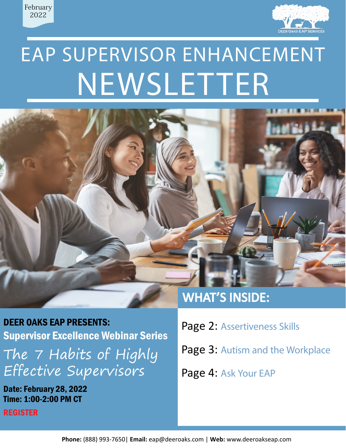



# EAP SUPERVISOR ENHANCEMENT NEWSLETTER



DEER OAKS EAP PRESENTS: Supervisor Excellence Webinar Series The 7 Habits of Highly Effective Supervisors

Date: February 28, 2022 Time: 1:0[0-](https://attendee.gotowebinar.com/register/1729193558279503375)2:00 PM CT

[REGISTER](https://register.gotowebinar.com/register/5302427130017681935)

# WHAT'S INSIDE:

- Page 2: [Assertiveness Skills](#page-1-0)
- Page 3: [Autism and the Workplace](#page-2-0)
- Page 4: [Ask Your EAP](#page-3-0)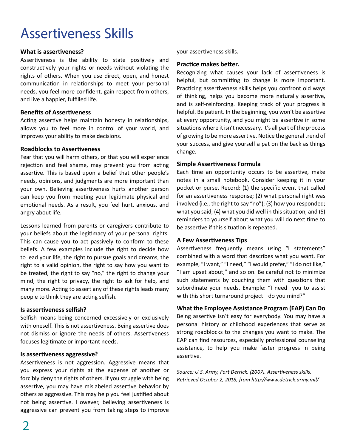# <span id="page-1-0"></span>Assertiveness Skills

### **What is assertiveness?**

Assertiveness is the ability to state positively and constructively your rights or needs without violating the rights of others. When you use direct, open, and honest communication in relationships to meet your personal needs, you feel more confident, gain respect from others, and live a happier, fulfilled life.

### **Benefits of Assertiveness**

Acting assertive helps maintain honesty in relationships, allows you to feel more in control of your world, and improves your ability to make decisions.

### **Roadblocks to Assertiveness**

Fear that you will harm others, or that you will experience rejection and feel shame, may prevent you from acting assertive. This is based upon a belief that other people's needs, opinions, and judgments are more important than your own. Believing assertiveness hurts another person can keep you from meeting your legitimate physical and emotional needs. As a result, you feel hurt, anxious, and angry about life.

Lessons learned from parents or caregivers contribute to your beliefs about the legitimacy of your personal rights. This can cause you to act passively to conform to these beliefs. A few examples include the right to decide how to lead your life, the right to pursue goals and dreams, the right to a valid opinion, the right to say how you want to be treated, the right to say "no," the right to change your mind, the right to privacy, the right to ask for help, and many more. Acting to assert any of these rights leads many people to think they are acting selfish.

# **Is assertiveness selfish?**

Selfish means being concerned excessively or exclusively with oneself. This is not assertiveness. Being assertive does not dismiss or ignore the needs of others. Assertiveness focuses legitimate or important needs.

#### **Is assertiveness aggressive?**

Assertiveness is not aggression. Aggressive means that you express your rights at the expense of another or forcibly deny the rights of others. If you struggle with being assertive, you may have mislabeled assertive behavior by others as aggressive. This may help you feel justified about not being assertive. However, believing assertiveness is aggressive can prevent you from taking steps to improve your assertiveness skills.

# **Practice makes better.**

Recognizing what causes your lack of assertiveness is helpful, but committing to change is more important. Practicing assertiveness skills helps you confront old ways of thinking, helps you become more naturally assertive, and is self-reinforcing. Keeping track of your progress is helpful. Be patient. In the beginning, you won't be assertive at every opportunity, and you might be assertive in some situations where it isn't necessary. It's all part of the process of growing to be more assertive. Notice the general trend of your success, and give yourself a pat on the back as things change.

### **Simple Assertiveness Formula**

Each time an opportunity occurs to be assertive, make notes in a small notebook. Consider keeping it in your pocket or purse. Record: (1) the specific event that called for an assertiveness response; (2) what personal right was involved (i.e., the right to say "no"); (3) how you responded; what you said; (4) what you did well in this situation; and (5) reminders to yourself about what you will do next time to be assertive if this situation is repeated.

# **A Few Assertiveness Tips**

Assertiveness frequently means using "I statements" combined with a word that describes what you want. For example, "I want," "I need," "I would prefer," "I do not like," "I am upset about," and so on. Be careful not to minimize such statements by couching them with questions that subordinate your needs. Example: "I need you to assist with this short turnaround project—do you mind?"

# **What the Employee Assistance Program (EAP) Can Do**

Being assertive isn't easy for everybody. You may have a personal history or childhood experiences that serve as strong roadblocks to the changes you want to make. The EAP can find resources, especially professional counseling assistance, to help you make faster progress in being assertive.

*Source: U.S. Army, Fort Derrick. (2007). Assertiveness skills. Retrieved October 2, 2018, from http://www.detrick.army.mil/*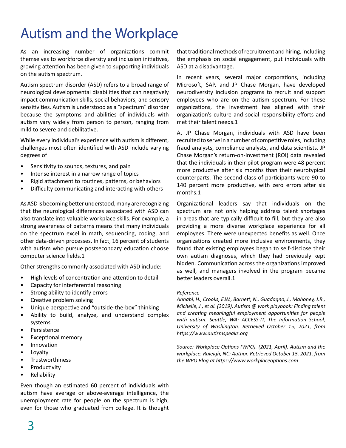# <span id="page-2-0"></span>Autism and the Workplace

As an increasing number of organizations commit themselves to workforce diversity and inclusion initiatives, growing attention has been given to supporting individuals on the autism spectrum.

Autism spectrum disorder (ASD) refers to a broad range of neurological developmental disabilities that can negatively impact communication skills, social behaviors, and sensory sensitivities. Autism is understood as a "spectrum" disorder because the symptoms and abilities of individuals with autism vary widely from person to person, ranging from mild to severe and debilitative.

While every individual's experience with autism is different, challenges most often identified with ASD include varying degrees of

- Sensitivity to sounds, textures, and pain
- Intense interest in a narrow range of topics
- Rigid attachment to routines, patterns, or behaviors
- Difficulty communicating and interacting with others

As ASD is becoming better understood, many are recognizing that the neurological differences associated with ASD can also translate into valuable workplace skills. For example, a strong awareness of patterns means that many individuals on the spectrum excel in math, sequencing, coding, and other data-driven processes. In fact, 16 percent of students with autism who pursue postsecondary education choose computer science fields.1

Other strengths commonly associated with ASD include:

- High levels of concentration and attention to detail
- Capacity for interferential reasoning
- Strong ability to identify errors
- Creative problem solving
- Unique perspective and "outside-the-box" thinking
- Ability to build, analyze, and understand complex systems
- **Persistence**
- Exceptional memory
- Innovation
- **Loyalty**
- **Trustworthiness**
- Productivity
- Reliability

Even though an estimated 60 percent of individuals with autism have average or above-average intelligence, the unemployment rate for people on the spectrum is high, even for those who graduated from college. It is thought that traditional methods of recruitment and hiring, including the emphasis on social engagement, put individuals with ASD at a disadvantage.

In recent years, several major corporations, including Microsoft, SAP, and JP Chase Morgan, have developed neurodiversity inclusion programs to recruit and support employees who are on the autism spectrum. For these organizations, the investment has aligned with their organization's culture and social responsibility efforts and met their talent needs.1

At JP Chase Morgan, individuals with ASD have been recruited to serve in a number of competitive roles, including fraud analysts, compliance analysts, and data scientists. JP Chase Morgan's return-on-investment (ROI) data revealed that the individuals in their pilot program were 48 percent more productive after six months than their neurotypical counterparts. The second class of participants were 90 to 140 percent more productive, with zero errors after six months.1

Organizational leaders say that individuals on the spectrum are not only helping address talent shortages in areas that are typically difficult to fill, but they are also providing a more diverse workplace experience for all employees. There were unexpected benefits as well. Once organizations created more inclusive environments, they found that existing employees began to self-disclose their own autism diagnoses, which they had previously kept hidden. Communication across the organizations improved as well, and managers involved in the program became better leaders overall.1

#### *Reference*

*Annabi, H., Crooks, E.W., Barnett, N., Guadagno, J., Mahoney, J.R., Michelle, J., et al. (2019). Autism @ work playbook: Finding talent and creating meaningful employment opportunities for people with autism. Seattle, WA: ACCESS-IT, The Information School, University of Washington. Retrieved October 15, 2021, from https://www.autismspeaks.org*

*Source: Workplace Options (WPO). (2021, April). Autism and the workplace. Raleigh, NC: Author. Retrieved October 15, 2021, from the WPO Blog at https://www.workplaceoptions.com*